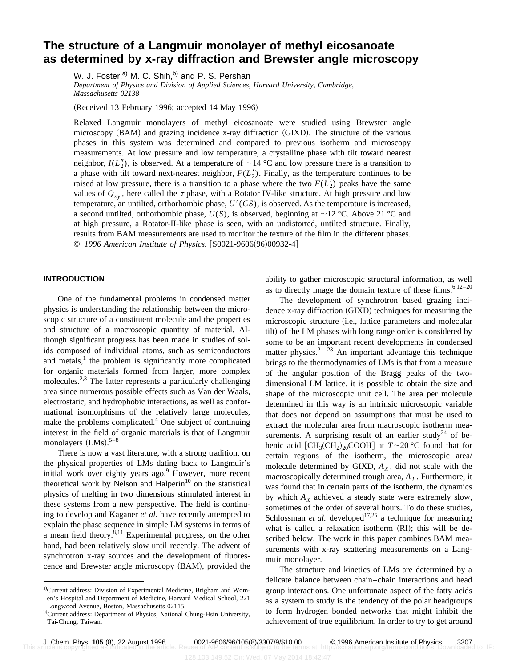# **The structure of a Langmuir monolayer of methyl eicosanoate as determined by x-ray diffraction and Brewster angle microscopy**

W. J. Foster,<sup>a)</sup> M. C. Shih,<sup>b)</sup> and P. S. Pershan

*Department of Physics and Division of Applied Sciences, Harvard University, Cambridge, Massachusetts 02138*

(Received 13 February 1996; accepted 14 May 1996)

Relaxed Langmuir monolayers of methyl eicosanoate were studied using Brewster angle microscopy  $(BAM)$  and grazing incidence x-ray diffraction  $(GIXD)$ . The structure of the various phases in this system was determined and compared to previous isotherm and microscopy measurements. At low pressure and low temperature, a crystalline phase with tilt toward nearest neighbor,  $I(L_2'')$ , is observed. At a temperature of  $\sim$ 14 °C and low pressure there is a transition to a phase with tilt toward next-nearest neighbor,  $F(L'_2)$ . Finally, as the temperature continues to be raised at low pressure, there is a transition to a phase where the two  $F(L'_2)$  peaks have the same values of  $Q_{xy}$ , here called the  $\tau$  phase, with a Rotator IV-like structure. At high pressure and low temperature, an untilted, orthorhombic phase,  $U'(CS)$ , is observed. As the temperature is increased, a second untilted, orthorhombic phase,  $U(S)$ , is observed, beginning at  $\sim$ 12 °C. Above 21 °C and at high pressure, a Rotator-II-like phase is seen, with an undistorted, untilted structure. Finally, results from BAM measurements are used to monitor the texture of the film in the different phases. © 1996 American Institute of Physics. [S0021-9606(96)00932-4]

# **INTRODUCTION**

One of the fundamental problems in condensed matter physics is understanding the relationship between the microscopic structure of a constituent molecule and the properties and structure of a macroscopic quantity of material. Although significant progress has been made in studies of solids composed of individual atoms, such as semiconductors and metals, $\lambda$  the problem is significantly more complicated for organic materials formed from larger, more complex molecules.<sup>2,3</sup> The latter represents a particularly challenging area since numerous possible effects such as Van der Waals, electrostatic, and hydrophobic interactions, as well as conformational isomorphisms of the relatively large molecules, make the problems complicated.<sup>4</sup> One subject of continuing interest in the field of organic materials is that of Langmuir monolayers  $(LMs).$ <sup>5-8</sup>

There is now a vast literature, with a strong tradition, on the physical properties of LMs dating back to Langmuir's initial work over eighty years ago.<sup>9</sup> However, more recent theoretical work by Nelson and Halperin $10$  on the statistical physics of melting in two dimensions stimulated interest in these systems from a new perspective. The field is continuing to develop and Kaganer *et al.* have recently attempted to explain the phase sequence in simple LM systems in terms of a mean field theory. $8,11$  Experimental progress, on the other hand, had been relatively slow until recently. The advent of synchrotron x-ray sources and the development of fluorescence and Brewster angle microscopy (BAM), provided the ability to gather microscopic structural information, as well as to directly image the domain texture of these films. $6,12-20$ 

The development of synchrotron based grazing incidence x-ray diffraction (GIXD) techniques for measuring the microscopic structure (i.e., lattice parameters and molecular tilt) of the LM phases with long range order is considered by some to be an important recent developments in condensed matter physics.<sup>21–23</sup> An important advantage this technique brings to the thermodynamics of LMs is that from a measure of the angular position of the Bragg peaks of the twodimensional LM lattice, it is possible to obtain the size and shape of the microscopic unit cell. The area per molecule determined in this way is an intrinsic microscopic variable that does not depend on assumptions that must be used to extract the molecular area from macroscopic isotherm measurements. A surprising result of an earlier study<sup>24</sup> of behenic acid  $\text{[CH}_3(\text{CH}_2)_{20}$ COOH] at  $T \sim 20$  °C found that for certain regions of the isotherm, the microscopic area/ molecule determined by GIXD,  $A_X$ , did not scale with the macroscopically determined trough area,  $A<sub>T</sub>$ . Furthermore, it was found that in certain parts of the isotherm, the dynamics by which  $A_X$  achieved a steady state were extremely slow, sometimes of the order of several hours. To do these studies, Schlossman *et al.* developed<sup>17,25</sup> a technique for measuring what is called a relaxation isotherm (RI); this will be described below. The work in this paper combines BAM measurements with x-ray scattering measurements on a Langmuir monolayer.

The structure and kinetics of LMs are determined by a delicate balance between chain–chain interactions and head group interactions. One unfortunate aspect of the fatty acids as a system to study is the tendency of the polar headgroups to form hydrogen bonded networks that might inhibit the achievement of true equilibrium. In order to try to get around

a)Current address: Division of Experimental Medicine, Brigham and Women's Hospital and Department of Medicine, Harvard Medical School, 221 Longwood Avenue, Boston, Massachusetts 02115.

b)Current address: Department of Physics, National Chung-Hsin University, Tai-Chung, Taiwan.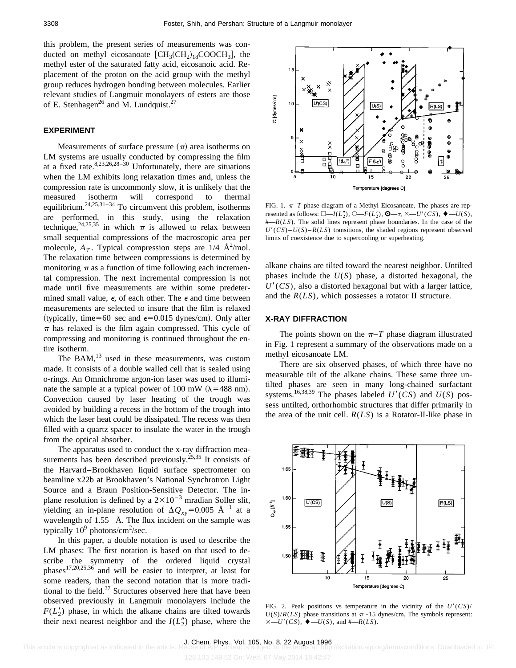this problem, the present series of measurements was conducted on methyl eicosanoate  $[CH<sub>3</sub>(CH<sub>2</sub>)<sub>18</sub>COOCH<sub>3</sub>]$ , the methyl ester of the saturated fatty acid, eicosanoic acid. Replacement of the proton on the acid group with the methyl group reduces hydrogen bonding between molecules. Earlier relevant studies of Langmuir monolayers of esters are those of E. Stenhagen<sup>26</sup> and M. Lundquist.<sup>27</sup>

## **EXPERIMENT**

Measurements of surface pressure  $(\pi)$  area isotherms on LM systems are usually conducted by compressing the film at a fixed rate.  $8,23,26,28-30$  Unfortunately, there are situations when the LM exhibits long relaxation times and, unless the compression rate is uncommonly slow, it is unlikely that the measured isotherm will correspond to thermal equilibrium.24,25,31–34 To circumvent this problem, isotherms are performed, in this study, using the relaxation technique,<sup>24,25,35</sup> in which  $\pi$  is allowed to relax between small sequential compressions of the macroscopic area per molecule,  $A_T$ . Typical compression steps are  $1/4$   $\text{\AA}^2/\text{mol}$ . The relaxation time between compressions is determined by monitoring  $\pi$  as a function of time following each incremental compression. The next incremental compression is not made until five measurements are within some predetermined small value,  $\epsilon$ , of each other. The  $\epsilon$  and time between measurements are selected to insure that the film is relaxed (typically, time=60 sec and  $\epsilon$ =0.015 dynes/cm). Only after  $\pi$  has relaxed is the film again compressed. This cycle of compressing and monitoring is continued throughout the entire isotherm.

The BAM, $^{13}$  used in these measurements, was custom made. It consists of a double walled cell that is sealed using o-rings. An Omnichrome argon-ion laser was used to illuminate the sample at a typical power of 100 mW ( $\lambda$ =488 nm). Convection caused by laser heating of the trough was avoided by building a recess in the bottom of the trough into which the laser heat could be dissipated. The recess was then filled with a quartz spacer to insulate the water in the trough from the optical absorber.

The apparatus used to conduct the x-ray diffraction measurements has been described previously.<sup>25,35</sup> It consists of the Harvard–Brookhaven liquid surface spectrometer on beamline x22b at Brookhaven's National Synchrotron Light Source and a Braun Position-Sensitive Detector. The inplane resolution is defined by a  $2\times10^{-3}$  mradian Soller slit, yielding an in-plane resolution of  $\Delta Q_{xy}$ =0.005 Å<sup>-1</sup> at a wavelength of 1.55 Å. The flux incident on the sample was typically  $10^9$  photons/cm<sup>2</sup>/sec.

In this paper, a double notation is used to describe the LM phases: The first notation is based on that used to describe the symmetry of the ordered liquid crystal phases17,20,25,36 and will be easier to interpret, at least for some readers, than the second notation that is more traditional to the field. $37$  Structures observed here that have been observed previously in Langmuir monolayers include the  $F(L'_2)$  phase, in which the alkane chains are tilted towards their next nearest neighbor and the  $I(L_2'')$  phase, where the



FIG. 1.  $\pi$ -*T* phase diagram of a Methyl Eicosanoate. The phases are represented as follows:  $\square - I(L_2^{\prime\prime}), \bigcirc F(L_2^{\prime}), \bigcirc F(-\tau, \times -U^{\prime}(CS), \bigcirc F(U(S), \bullet)$ #—*R*(*LS*). The solid lines represent phase boundaries. In the case of the  $U'(CS) - U(S) - R(LS)$  transitions, the shaded regions represent observed limits of coexistence due to supercooling or superheating.

alkane chains are tilted toward the nearest neighbor. Untilted phases include the *U*(*S*) phase, a distorted hexagonal, the  $U'(CS)$ , also a distorted hexagonal but with a larger lattice, and the *R*(*LS*), which possesses a rotator II structure.

## **X-RAY DIFFRACTION**

The points shown on the  $\pi$ –*T* phase diagram illustrated in Fig. 1 represent a summary of the observations made on a methyl eicosanoate LM.

There are six observed phases, of which three have no measurable tilt of the alkane chains. These same three untilted phases are seen in many long-chained surfactant systems.<sup>16,38,39</sup> The phases labeled  $U'(CS)$  and  $U(S)$  possess untilted, orthorhombic structures that differ primarily in the area of the unit cell.  $R(LS)$  is a Rotator-II-like phase in



FIG. 2. Peak positions vs temperature in the vicinity of the  $U'(CS)$ /  $U(S)/R(LS)$  phase transitions at  $\pi \sim 15$  dynes/cm. The symbols represent:  $\times-U'(CS)$ ,  $\blacklozenge-U(S)$ , and  $\#$ —*R*(*LS*).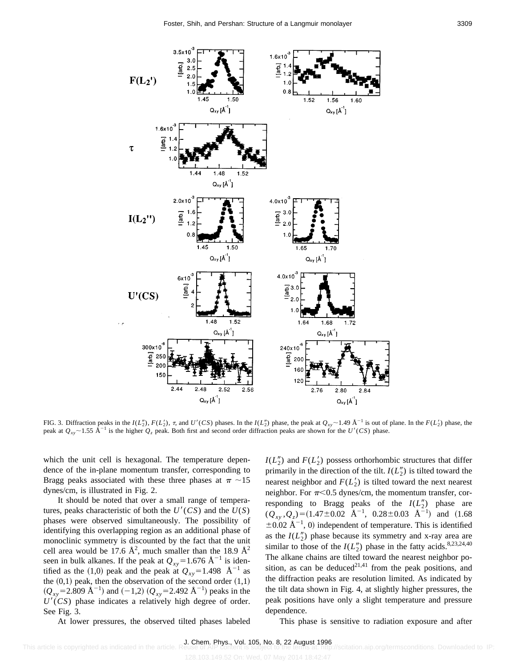

FIG. 3. Diffraction peaks in the  $I(L_2'')$ ,  $F(L_2')$ ,  $\tau$ , and  $U'(CS)$  phases. In the  $I(L_2'')$  phase, the peak at  $Q_{xy} \sim 1.49 \text{ Å}^{-1}$  is out of plane. In the  $F(L_2')$  phase, the peak at  $Q_{xy}$  ~ 1.55 Å<sup>-1</sup> is the higher  $Q_z$  peak. Both first and second order diffraction peaks are shown for the *U'(CS)* phase.

which the unit cell is hexagonal. The temperature dependence of the in-plane momentum transfer, corresponding to Bragg peaks associated with these three phases at  $\pi \sim 15$ dynes/cm, is illustrated in Fig. 2.

It should be noted that over a small range of temperatures, peaks characteristic of both the  $U'(CS)$  and the  $U(S)$ phases were observed simultaneously. The possibility of identifying this overlapping region as an additional phase of monoclinic symmetry is discounted by the fact that the unit cell area would be 17.6  $\AA^2$ , much smaller than the 18.9  $\AA^2$ seen in bulk alkanes. If the peak at  $Q_{xy}$ =1.676 Å<sup>-1</sup> is identified as the (1,0) peak and the peak at  $Q_{xy} = 1.498 \text{ Å}^{-1}$  as the  $(0,1)$  peak, then the observation of the second order  $(1,1)$  $(Q_{xy} = 2.809 \text{ Å}^{-1})$  and  $(-1,2) (Q_{xy} = 2.492 \text{ Å}^{-1})$  peaks in the  $U'(CS)$  phase indicates a relatively high degree of order. See Fig. 3.

 $I(L_2'')$  and  $F(L_2')$  possess orthorhombic structures that differ primarily in the direction of the tilt.  $I(L_2^{\prime\prime})$  is tilted toward the nearest neighbor and  $F(L'_2)$  is tilted toward the next nearest neighbor. For  $\pi$ <0.5 dynes/cm, the momentum transfer, corresponding to Bragg peaks of the  $I(L_2'')$  phase are  $(Q_{xy}, Q_z) = (1.47 \pm 0.02 \text{ \AA}^{-1}, 0.28 \pm 0.03 \text{ \AA}^{-1})$  and  $(1.68$  $\pm 0.02$  Å<sup>-1</sup>, 0) independent of temperature. This is identified as the  $I(L_2^{\prime\prime})$  phase because its symmetry and x-ray area are similar to those of the  $I(L_2'')$  phase in the fatty acids.<sup>8,23,24,40</sup> The alkane chains are tilted toward the nearest neighbor position, as can be deduced<sup>21,41</sup> from the peak positions, and the diffraction peaks are resolution limited. As indicated by the tilt data shown in Fig. 4, at slightly higher pressures, the peak positions have only a slight temperature and pressure dependence.

At lower pressures, the observed tilted phases labeled

This phase is sensitive to radiation exposure and after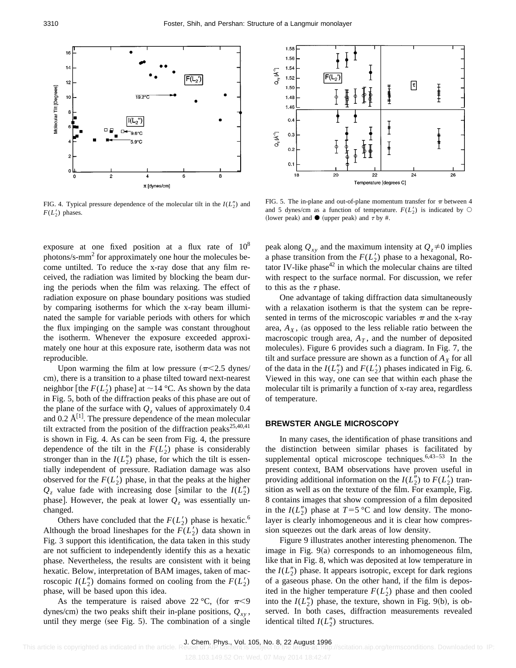

FIG. 4. Typical pressure dependence of the molecular tilt in the  $I(L_2'')$  and  $F(L'_2)$  phases.

exposure at one fixed position at a flux rate of  $10^8$ photons/s-mm<sup>2</sup> for approximately one hour the molecules become untilted. To reduce the x-ray dose that any film received, the radiation was limited by blocking the beam during the periods when the film was relaxing. The effect of radiation exposure on phase boundary positions was studied by comparing isotherms for which the x-ray beam illuminated the sample for variable periods with others for which the flux impinging on the sample was constant throughout the isotherm. Whenever the exposure exceeded approximately one hour at this exposure rate, isotherm data was not reproducible.

Upon warming the film at low pressure  $(\pi<2.5 \text{ dynes})$ cm), there is a transition to a phase tilted toward next-nearest neighbor [the  $F(L'_2)$  phase] at  $\sim$  14 °C. As shown by the data in Fig. 5, both of the diffraction peaks of this phase are out of the plane of the surface with  $Q_z$  values of approximately 0.4 and 0.2  $\AA^{[1]}$ . The pressure dependence of the mean molecular tilt extracted from the position of the diffraction peaks<sup>25,40,41</sup> is shown in Fig. 4. As can be seen from Fig. 4, the pressure dependence of the tilt in the  $F(L'_2)$  phase is considerably stronger than in the  $I(L_2'')$  phase, for which the tilt is essentially independent of pressure. Radiation damage was also observed for the  $F(L'_2)$  phase, in that the peaks at the higher  $Q_z$  value fade with increasing dose [similar to the  $I(L_2'')$ phase]. However, the peak at lower  $Q<sub>z</sub>$  was essentially unchanged.

Others have concluded that the  $F(L'_2)$  phase is hexatic.<sup>6</sup> Although the broad lineshapes for the  $F(L'_2)$  data shown in Fig. 3 support this identification, the data taken in this study are not sufficient to independently identify this as a hexatic phase. Nevertheless, the results are consistent with it being hexatic. Below, interpretation of BAM images, taken of macroscopic  $I(L_2'')$  domains formed on cooling from the  $F(L_2')$ phase, will be based upon this idea.

As the temperature is raised above 22 °C, (for  $\pi$ <9 dynes/cm) the two peaks shift their in-plane positions,  $Q_{xy}$ , until they merge (see Fig.  $5$ ). The combination of a single



FIG. 5. The in-plane and out-of-plane momentum transfer for  $\pi$  between 4 and 5 dynes/cm as a function of temperature.  $F(L'_2)$  is indicated by  $\bigcirc$ (lower peak) and  $\bullet$  (upper peak) and  $\tau$  by #.

peak along  $Q_{xy}$  and the maximum intensity at  $Q_z \neq 0$  implies a phase transition from the  $F(L'_2)$  phase to a hexagonal, Rotator IV-like phase $42$  in which the molecular chains are tilted with respect to the surface normal. For discussion, we refer to this as the  $\tau$  phase.

One advantage of taking diffraction data simultaneously with a relaxation isotherm is that the system can be represented in terms of the microscopic variables  $\pi$  and the x-ray area,  $A_X$ , (as opposed to the less reliable ratio between the macroscopic trough area,  $A_T$ , and the number of deposited molecules). Figure 6 provides such a diagram. In Fig. 7, the tilt and surface pressure are shown as a function of  $A_X$  for all of the data in the  $I(L_2'')$  and  $F(L_2')$  phases indicated in Fig. 6. Viewed in this way, one can see that within each phase the molecular tilt is primarily a function of x-ray area, regardless of temperature.

# **BREWSTER ANGLE MICROSCOPY**

In many cases, the identification of phase transitions and the distinction between similar phases is facilitated by supplemental optical microscope techniques.<sup>6,43-53</sup> In the present context, BAM observations have proven useful in providing additional information on the  $I(L_2'')$  to  $F(L_2')$  transition as well as on the texture of the film. For example, Fig. 8 contains images that show compression of a film deposited in the  $I(L_2^{\prime\prime})$  phase at  $T=5$  °C and low density. The monolayer is clearly inhomogeneous and it is clear how compression squeezes out the dark areas of low density.

Figure 9 illustrates another interesting phenomenon. The image in Fig.  $9(a)$  corresponds to an inhomogeneous film, like that in Fig. 8, which was deposited at low temperature in the  $I(L_2'')$  phase. It appears isotropic, except for dark regions of a gaseous phase. On the other hand, if the film is deposited in the higher temperature  $F(L'_2)$  phase and then cooled into the  $I(L_2'')$  phase, the texture, shown in Fig. 9(b), is observed. In both cases, diffraction measurements revealed identical tilted  $I(L_2'')$  structures.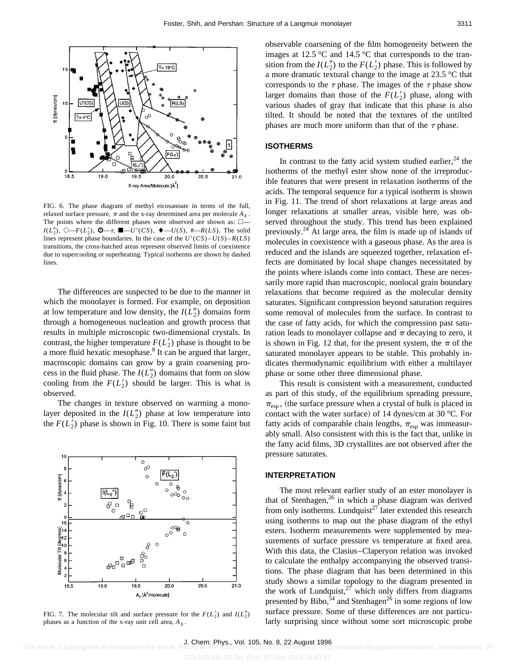

FIG. 6. The phase diagram of methyl eicosanoate in terms of the full, relaxed surface pressure,  $\pi$  and the x-ray determined area per molecule  $A_X$ . The points where the different phases were observed are shown as:  $\square$ - $I(L''_2)$ ,  $\bigcirc$  -*F*( $L'_2$ ),  $\bigcirc$  -*T*,  $\blacksquare$ -*U'*(*CS*),  $\blacklozenge$ -*U*(*S*), #-*R*(*LS*). The solid lines represent phase boundaries. In the case of the  $U'(CS) - U(S) - R(LS)$ transitions, the cross-hatched areas represent observed limits of coexistence due to supercooling or superheating. Typical isotherms are shown by dashed lines.

The differences are suspected to be due to the manner in which the monolayer is formed. For example, on deposition at low temperature and low density, the  $I(L_2^{\prime\prime})$  domains form through a homogeneous nucleation and growth process that results in multiple microscopic two-dimensional crystals. In contrast, the higher temperature  $F(L'_2)$  phase is thought to be a more fluid hexatic mesophase.<sup>8</sup> It can be argued that larger, macroscopic domains can grow by a grain coarsening process in the fluid phase. The  $I(L_2'')$  domains that form on slow cooling from the  $F(L'_2)$  should be larger. This is what is observed.

The changes in texture observed on warming a monolayer deposited in the  $I(L_2'')$  phase at low temperature into the  $F(L'_2)$  phase is shown in Fig. 10. There is some faint but



FIG. 7. The molecular tilt and surface pressure for the  $F(L'_2)$  and  $I(L''_2)$ phases as a function of the x-ray unit cell area,  $A_X$ .

observable coarsening of the film homogeneity between the images at 12.5 °C and 14.5 °C that corresponds to the transition from the  $I(L_2'')$  to the  $F(L_2')$  phase. This is followed by a more dramatic textural change to the image at 23.5 °C that corresponds to the  $\tau$  phase. The images of the  $\tau$  phase show

larger domains than those of the  $F(L'_2)$  phase, along with various shades of gray that indicate that this phase is also tilted. It should be noted that the textures of the untilted phases are much more uniform than that of the  $\tau$  phase.

#### **ISOTHERMS**

In contrast to the fatty acid system studied earlier,  $24$  the isotherms of the methyl ester show none of the irreproducible features that were present in relaxation isotherms of the acids. The temporal sequence for a typical isotherm is shown in Fig. 11. The trend of short relaxations at large areas and longer relaxations at smaller areas, visible here, was observed throughout the study. This trend has been explained previously.<sup>24</sup> At large area, the film is made up of islands of molecules in coexistence with a gaseous phase. As the area is reduced and the islands are squeezed together, relaxation effects are dominated by local shape changes necessitated by the points where islands come into contact. These are necessarily more rapid than macroscopic, nonlocal grain boundary relaxations that become required as the molecular density saturates. Significant compression beyond saturation requires some removal of molecules from the surface. In contrast to the case of fatty acids, for which the compression past saturation leads to monolayer collapse and  $\pi$  decaying to zero, it is shown in Fig. 12 that, for the present system, the  $\pi$  of the saturated monolayer appears to be stable. This probably indicates thermodynamic equilibrium with either a multilayer phase or some other three dimensional phase.

This result is consistent with a measurement, conducted as part of this study, of the equilibrium spreading pressure,  $\pi_{\text{esp}}$ , (the surface pressure when a crystal of bulk is placed in contact with the water surface) of 14 dynes/cm at 30  $^{\circ}$ C. For fatty acids of comparable chain lengths,  $\pi_{\text{esp}}$  was immeasurably small. Also consistent with this is the fact that, unlike in the fatty acid films, 3D crystallites are not observed after the pressure saturates.

## **INTERPRETATION**

The most relevant earlier study of an ester monolayer is that of Stenhagen,<sup>26</sup> in which a phase diagram was derived from only isotherms. Lundquist<sup>27</sup> later extended this research using isotherms to map out the phase diagram of the ethyl esters. Isotherm measurements were supplemented by measurements of surface pressure vs temperature at fixed area. With this data, the Clasius–Claperyon relation was invoked to calculate the enthalpy accompanying the observed transitions. The phase diagram that has been determined in this study shows a similar topology to the diagram presented in the work of Lundquist, $27$  which only differs from diagrams presented by Bibo,<sup>54</sup> and Stenhagen<sup>26</sup> in some regions of low surface pressure. Some of these differences are not particularly surprising since without some sort microscopic probe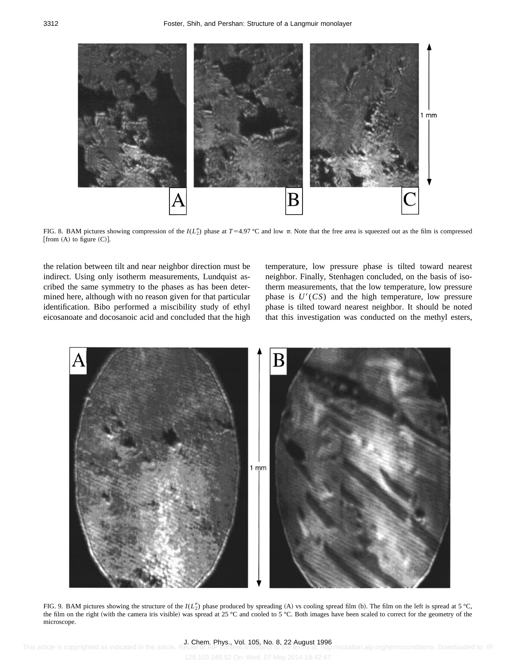

FIG. 8. BAM pictures showing compression of the  $I(L_2^{\prime\prime})$  phase at  $T=4.97\degree$ C and low  $\pi$ . Note that the free area is squeezed out as the film is compressed [from  $(A)$  to figure  $(C)$ ].

the relation between tilt and near neighbor direction must be indirect. Using only isotherm measurements, Lundquist ascribed the same symmetry to the phases as has been determined here, although with no reason given for that particular identification. Bibo performed a miscibility study of ethyl eicosanoate and docosanoic acid and concluded that the high

temperature, low pressure phase is tilted toward nearest neighbor. Finally, Stenhagen concluded, on the basis of isotherm measurements, that the low temperature, low pressure phase is  $U'(CS)$  and the high temperature, low pressure phase is tilted toward nearest neighbor. It should be noted that this investigation was conducted on the methyl esters,



FIG. 9. BAM pictures showing the structure of the  $I(L_2'')$  phase produced by spreading  $(A)$  vs cooling spread film  $(b)$ . The film on the left is spread at 5 °C, the film on the right (with the camera iris visible) was spread at 25 °C and cooled to 5 °C. Both images have been scaled to correct for the geometry of the microscope.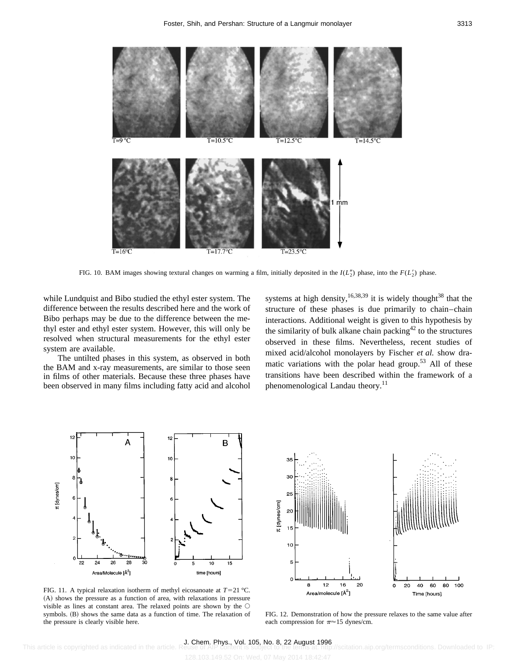

FIG. 10. BAM images showing textural changes on warming a film, initially deposited in the  $I(L_2^{\prime\prime})$  phase.

35

while Lundquist and Bibo studied the ethyl ester system. The difference between the results described here and the work of Bibo perhaps may be due to the difference between the methyl ester and ethyl ester system. However, this will only be resolved when structural measurements for the ethyl ester system are available.

The untilted phases in this system, as observed in both the BAM and x-ray measurements, are similar to those seen in films of other materials. Because these three phases have been observed in many films including fatty acid and alcohol systems at high density,<sup>16,38,39</sup> it is widely thought<sup>38</sup> that the structure of these phases is due primarily to chain–chain interactions. Additional weight is given to this hypothesis by the similarity of bulk alkane chain packing<sup>42</sup> to the structures observed in these films. Nevertheless, recent studies of mixed acid/alcohol monolayers by Fischer *et al.* show dramatic variations with the polar head group.<sup>53</sup> All of these transitions have been described within the framework of a phenomenological Landau theory.<sup>11</sup>

Δ t [dynes/cm]  $\Omega$ 26 28 24 10 15 Area/Molecule [Å<sup>2</sup>] time [hours]

30 25 t [dynes/cm  $10$ 8  $12$  $16$  ${\bf 40}$ 60 80 20  $\circ$ 20 100 Area/molecule [Å2] Time [hours]

FIG. 11. A typical relaxation isotherm of methyl eicosanoate at  $T=21 \degree C$ . (A) shows the pressure as a function of area, with relaxations in pressure visible as lines at constant area. The relaxed points are shown by the  $\circ$ symbols. (B) shows the same data as a function of time. The relaxation of the pressure is clearly visible here.

FIG. 12. Demonstration of how the pressure relaxes to the same value after each compression for  $\pi \approx 15$  dynes/cm.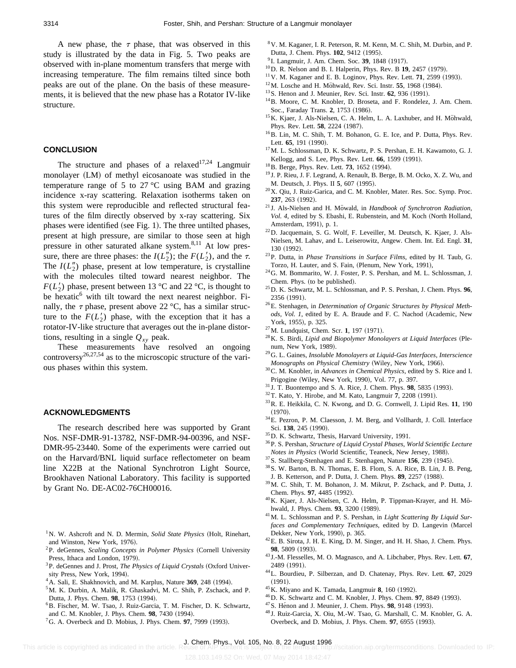A new phase, the  $\tau$  phase, that was observed in this study is illustrated by the data in Fig. 5. Two peaks are observed with in-plane momentum transfers that merge with increasing temperature. The film remains tilted since both peaks are out of the plane. On the basis of these measurements, it is believed that the new phase has a Rotator IV-like structure.

### **CONCLUSION**

The structure and phases of a relaxed<sup>17,24</sup> Langmuir monolayer (LM) of methyl eicosanoate was studied in the temperature range of 5 to 27 °C using BAM and grazing incidence x-ray scattering. Relaxation isotherms taken on this system were reproducible and reflected structural features of the film directly observed by x-ray scattering. Six phases were identified (see Fig. 1). The three untilted phases, present at high pressure, are similar to those seen at high pressure in other saturated alkane system.<sup>8,11</sup> At low pressure, there are three phases: the  $I(L_2'')$ ; the  $F(L_2')$ , and the  $\tau$ . The  $I(L_2'')$  phase, present at low temperature, is crystalline with the molecules tilted toward nearest neighbor. The  $F(L'_2)$  phase, present between 13 °C and 22 °C, is thought to be hexatic $<sup>6</sup>$  with tilt toward the next nearest neighbor. Fi-</sup> nally, the  $\tau$  phase, present above 22 °C, has a similar structure to the  $F(L'_2)$  phase, with the exception that it has a rotator-IV-like structure that averages out the in-plane distortions, resulting in a single  $Q_{xy}$  peak.

These measurements have resolved an ongoing controversy<sup>26,27,54</sup> as to the microscopic structure of the various phases within this system.

#### **ACKNOWLEDGMENTS**

The research described here was supported by Grant Nos. NSF-DMR-91-13782, NSF-DMR-94-00396, and NSF-DMR-95-23440. Some of the experiments were carried out on the Harvard/BNL liquid surface reflectometer on beam line X22B at the National Synchrotron Light Source, Brookhaven National Laboratory. This facility is supported by Grant No. DE-AC02-76CH00016.

- <sup>1</sup>N. W. Ashcroft and N. D. Mermin, *Solid State Physics* (Holt, Rinehart, and Winston, New York, 1976).
- <sup>2</sup>P. deGennes, *Scaling Concepts in Polymer Physics* (Cornell University Press, Ithaca and London, 1979).
- <sup>3</sup>P. deGennes and J. Prost, *The Physics of Liquid Crystals* (Oxford University Press, New York, 1994).
- <sup>4</sup> A. Sali, E. Shakhnovich, and M. Karplus, Nature 369, 248 (1994).
- 5M. K. Durbin, A. Malik, R. Ghaskadvi, M. C. Shih, P. Zschack, and P. Dutta, J. Phys. Chem. 98, 1753 (1994).
- 6B. Fischer, M. W. Tsao, J. Ruiz-Garcia, T. M. Fischer, D. K. Schwartz, and C. M. Knobler, J. Phys. Chem. 98, 7430 (1994).
- ${}^{7}$ G. A. Overbeck and D. Mobius, J. Phys. Chem. **97**, 7999 (1993).
- 8V. M. Kaganer, I. R. Peterson, R. M. Kenn, M. C. Shih, M. Durbin, and P. Dutta, J. Chem. Phys. **102**, 9412 (1995).
- <sup>9</sup> I. Langmuir, J. Am. Chem. Soc. **39**, 1848 (1917).
- <sup>10</sup>D. R. Nelson and B. I. Halperin, Phys. Rev. B **19**, 2457 (1979).
- $11$  V. M. Kaganer and E. B. Loginov, Phys. Rev. Lett. **71**, 2599 (1993).
- <sup>12</sup>M. Losche and H. Möhwald, Rev. Sci. Instr. 55, 1968 (1984).
- <sup>13</sup> S. Henon and J. Meunier, Rev. Sci. Instr. **62**, 936 (1991).
- 14B. Moore, C. M. Knobler, D. Broseta, and F. Rondelez, J. Am. Chem. Soc., Faraday Trans. 2, 1753 (1986).
- <sup>15</sup>K. Kjaer, J. Als-Nielsen, C. A. Helm, L. A. Laxhuber, and H. Möhwald, Phys. Rev. Lett. 58, 2224 (1987).
- <sup>16</sup>B. Lin, M. C. Shih, T. M. Bohanon, G. E. Ice, and P. Dutta, Phys. Rev. Lett. 65, 191 (1990).
- 17M. L. Schlossman, D. K. Schwartz, P. S. Pershan, E. H. Kawamoto, G. J. Kellogg, and S. Lee, Phys. Rev. Lett. 66, 1599 (1991).
- $^{18}$ B. Berge, Phys. Rev. Lett. **73**, 1652 (1994).
- <sup>19</sup> J. P. Rieu, J. F. Legrand, A. Renault, B. Berge, B. M. Ocko, X. Z. Wu, and M. Deutsch, J. Phys. II 5, 607 (1995).
- 20X. Qiu, J. Ruiz-Garica, and C. M. Knobler, Mater. Res. Soc. Symp. Proc. 237, 263 (1992).
- <sup>21</sup> J. Als-Nielsen and H. Möwald, in *Handbook of Synchrotron Radiation*, *Vol. 4*, edited by S. Ebashi, E. Rubenstein, and M. Koch (North Holland, Amsterdam, 1991), p. 1.
- 22D. Jacquemain, S. G. Wolf, F. Leveiller, M. Deutsch, K. Kjaer, J. Als-Nielsen, M. Lahav, and L. Leiserowitz, Angew. Chem. Int. Ed. Engl. **31**, 130 (1992).
- 23P. Dutta, in *Phase Transitions in Surface Films*, edited by H. Taub, G. Torzo, H. Lauter, and S. Fain, (Plenum, New York, 1991),
- 24G. M. Bommarito, W. J. Foster, P. S. Pershan, and M. L. Schlossman, J. Chem. Phys. (to be published).
- 25D. K. Schwartz, M. L. Schlossman, and P. S. Pershan, J. Chem. Phys. **96**, 2356 (1991).
- 26E. Stenhagen, in *Determination of Organic Structures by Physical Meth*ods, Vol. 1, edited by E. A. Braude and F. C. Nachod (Academic, New York, 1955), p. 325.
- <sup>27</sup>M. Lundquist, Chem. Scr. **1**, 197 (1971).
- <sup>28</sup> K. S. Birdi, *Lipid and Biopolymer Monolayers at Liquid Interfaces* (Plenum, New York, 1989).
- 29G. L. Gaines, *Insoluble Monolayers at Liquid-Gas Interfaces, Interscience Monographs on Physical Chemistry* (Wiley, New York, 1966).
- 30C. M. Knobler, in *Advances in Chemical Physics*, edited by S. Rice and I. Prigogine (Wiley, New York, 1990), Vol. 77, p. 397.
- $31$  J. T. Buontempo and S. A. Rice, J. Chem. Phys. **98**, 5835 (1993).
- <sup>32</sup> T. Kato, Y. Hirobe, and M. Kato, Langmuir 7, 2208 (1991).
- 33R. E. Heikkila, C. N. Kwong, and D. G. Cornwell, J. Lipid Res. **11**, 190  $(1970).$
- 34E. Pezron, P. M. Claesson, J. M. Berg, and Vollhardt, J. Coll. Interface Sci. 138, 245 (1990).
- 35D. K. Schwartz, Thesis, Harvard University, 1991.
- 36P. S. Pershan, *Structure of Liquid Crystal Phases, World Scientific Lecture Notes in Physics* (World Scientific, Teaneck, New Jersey, 1988).
- <sup>37</sup>S. Stallberg-Stenhagen and E. Stenhagen, Nature 156, 239 (1945).
- 38S. W. Barton, B. N. Thomas, E. B. Flom, S. A. Rice, B. Lin, J. B. Peng, J. B. Ketterson, and P. Dutta, J. Chem. Phys. 89, 2257 (1988).
- 39M. C. Shih, T. M. Bohanon, J. M. Mikrut, P. Zschack, and P. Dutta, J. Chem. Phys. **97**, 4485 (1992).
- $^{40}$ K. Kjaer, J. Als-Nielsen, C. A. Helm, P. Tippman-Krayer, and H. Mohwald, J. Phys. Chem. 93, 3200 (1989).
- 41M. L. Schlossman and P. S. Pershan, in *Light Scattering By Liquid Surfaces and Complementary Techniques*, edited by D. Langevin (Marcel Dekker, New York, 1990), p. 365.
- 42E. B. Sirota, J. H. E. King, D. M. Singer, and H. H. Shao, J. Chem. Phys. 98, 5809 (1993).
- <sup>43</sup> J.-M. Flesselles, M. O. Magnasco, and A. Libchaber, Phys. Rev. Lett. **67**, 2489 (1991).
- 44L. Bourdieu, P. Silberzan, and D. Chatenay, Phys. Rev. Lett. **67**, 2029  $(1991).$
- <sup>45</sup>K. Miyano and K. Tamada, Langmuir 8, 160 (1992).
- <sup>46</sup>D. K. Schwartz and C. M. Knobler, J. Phys. Chem. **97**, 8849 (1993).
- <sup>47</sup> S. Hénon and J. Meunier, J. Chem. Phys. 98, 9148 (1993).
- <sup>48</sup> J. Ruiz-Garcia, X. Oiu, M.-W. Tsao, G. Marshall, C. M. Knobler, G. A. Overbeck, and D. Mobius, J. Phys. Chem. 97, 6955 (1993).